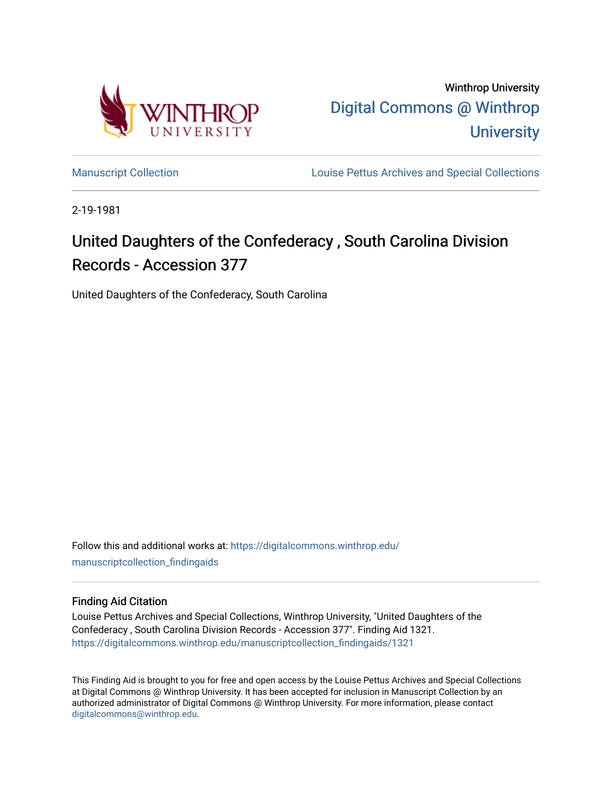

Winthrop University [Digital Commons @ Winthrop](https://digitalcommons.winthrop.edu/)  **University** 

[Manuscript Collection](https://digitalcommons.winthrop.edu/manuscriptcollection_findingaids) **Louise Pettus Archives and Special Collections** 

2-19-1981

# United Daughters of the Confederacy , South Carolina Division Records - Accession 377

United Daughters of the Confederacy, South Carolina

Follow this and additional works at: [https://digitalcommons.winthrop.edu/](https://digitalcommons.winthrop.edu/manuscriptcollection_findingaids?utm_source=digitalcommons.winthrop.edu%2Fmanuscriptcollection_findingaids%2F1321&utm_medium=PDF&utm_campaign=PDFCoverPages) [manuscriptcollection\\_findingaids](https://digitalcommons.winthrop.edu/manuscriptcollection_findingaids?utm_source=digitalcommons.winthrop.edu%2Fmanuscriptcollection_findingaids%2F1321&utm_medium=PDF&utm_campaign=PDFCoverPages) 

#### Finding Aid Citation

Louise Pettus Archives and Special Collections, Winthrop University, "United Daughters of the Confederacy , South Carolina Division Records - Accession 377". Finding Aid 1321. [https://digitalcommons.winthrop.edu/manuscriptcollection\\_findingaids/1321](https://digitalcommons.winthrop.edu/manuscriptcollection_findingaids/1321?utm_source=digitalcommons.winthrop.edu%2Fmanuscriptcollection_findingaids%2F1321&utm_medium=PDF&utm_campaign=PDFCoverPages) 

This Finding Aid is brought to you for free and open access by the Louise Pettus Archives and Special Collections at Digital Commons @ Winthrop University. It has been accepted for inclusion in Manuscript Collection by an authorized administrator of Digital Commons @ Winthrop University. For more information, please contact [digitalcommons@winthrop.edu](mailto:digitalcommons@winthrop.edu).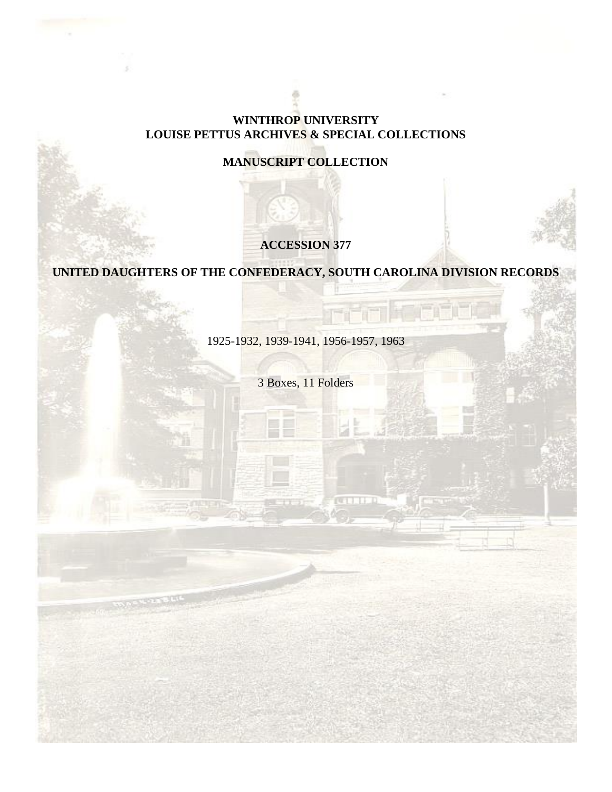#### **WINTHROP UNIVERSITY LOUISE PETTUS ARCHIVES & SPECIAL COLLECTIONS**

## **MANUSCRIPT COLLECTION**

## **ACCESSION 377**

# **UNITED DAUGHTERS OF THE CONFEDERACY, SOUTH CAROLINA DIVISION RECORDS**

1925-1932, 1939-1941, 1956-1957, 1963

3 Boxes, 11 Folders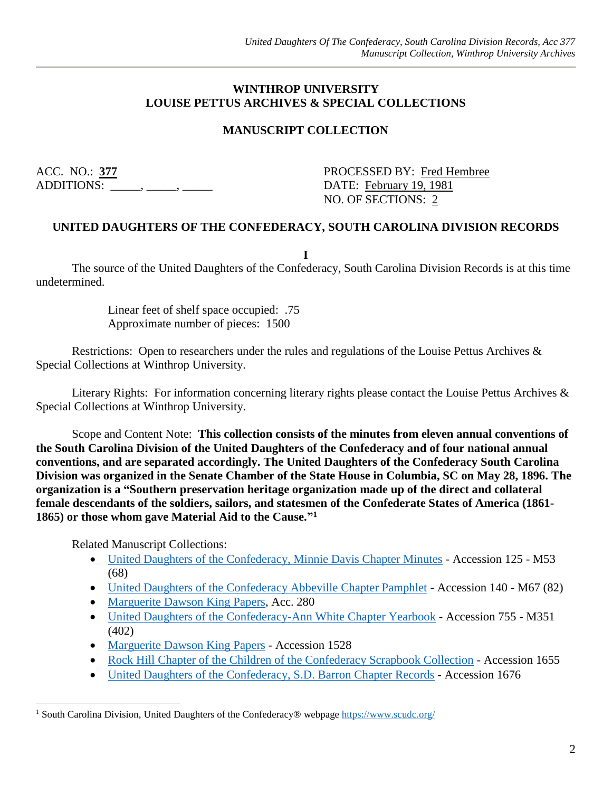#### **WINTHROP UNIVERSITY LOUISE PETTUS ARCHIVES & SPECIAL COLLECTIONS**

#### **MANUSCRIPT COLLECTION**

ACC. NO.: **377** PROCESSED BY: Fred Hembree ADDITIONS: \_\_\_\_\_, \_\_\_\_\_, \_\_\_\_\_\_ DATE: February 19, 1981

NO. OF SECTIONS: 2

#### **UNITED DAUGHTERS OF THE CONFEDERACY, SOUTH CAROLINA DIVISION RECORDS**

**I**

The source of the United Daughters of the Confederacy, South Carolina Division Records is at this time undetermined.

> Linear feet of shelf space occupied: .75 Approximate number of pieces: 1500

Restrictions: Open to researchers under the rules and regulations of the Louise Pettus Archives & Special Collections at Winthrop University.

Literary Rights: For information concerning literary rights please contact the Louise Pettus Archives & Special Collections at Winthrop University.

Scope and Content Note: **This collection consists of the minutes from eleven annual conventions of the South Carolina Division of the United Daughters of the Confederacy and of four national annual conventions, and are separated accordingly. The United Daughters of the Confederacy South Carolina Division was organized in the Senate Chamber of the State House in Columbia, SC on May 28, 1896. The organization is a "Southern preservation heritage organization made up of the direct and collateral female descendants of the soldiers, sailors, and statesmen of the Confederate States of America (1861- 1865) or those whom gave Material Aid to the Cause." 1**

Related Manuscript Collections:

 $\overline{a}$ 

- [United Daughters of the Confederacy, Minnie Davis Chapter Minutes](https://digitalcommons.winthrop.edu/manuscriptcollection_findingaids/157/) Accession 125 M53 (68)
- [United Daughters of the Confederacy Abbeville Chapter Pamphlet](https://digitalcommons.winthrop.edu/manuscriptcollection_findingaids/170/) Accession 140 M67 (82)
- [Marguerite Dawson King Papers,](https://digitalcommons.winthrop.edu/manuscriptcollection_findingaids/78/) Acc. 280
- [United Daughters of the Confederacy-Ann White Chapter Yearbook](https://digitalcommons.winthrop.edu/manuscriptcollection_findingaids/562/) Accession 755 M351 (402)
- [Marguerite Dawson King Papers](https://digitalcommons.winthrop.edu/manuscriptcollection_findingaids/753/) Accession 1528
- [Rock Hill Chapter of the Children of the Confederacy Scrapbook Collection](https://digitalcommons.winthrop.edu/manuscriptcollection_findingaids/1140/) Accession 1655
- [United Daughters of the Confederacy, S.D. Barron Chapter Records](https://digitalcommons.winthrop.edu/manuscriptcollection_findingaids/1237/) Accession 1676

<sup>&</sup>lt;sup>1</sup> South Carolina Division, United Daughters of the Confederacy® webpage<https://www.scudc.org/>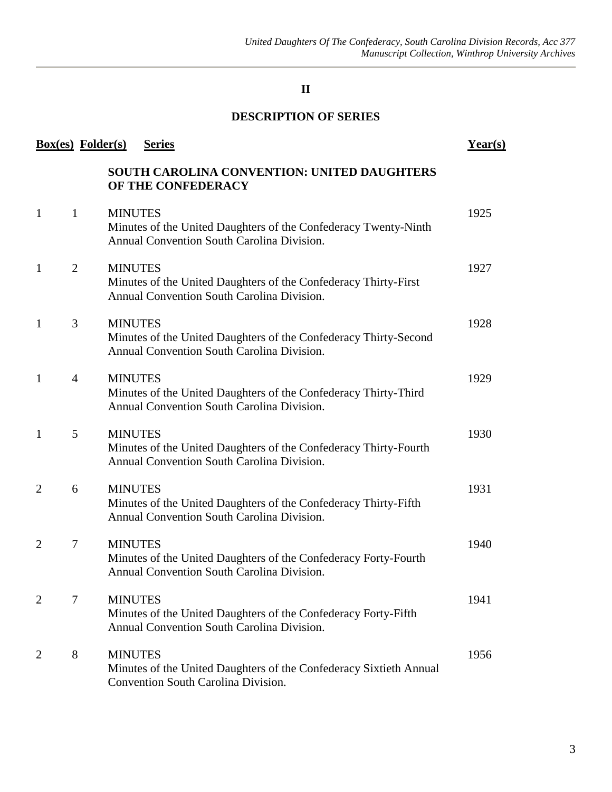### **II**

#### **DESCRIPTION OF SERIES**

|                | <b>Box(es)</b> Folder(s) | <b>Series</b>                                                                                                                    | Year(s) |
|----------------|--------------------------|----------------------------------------------------------------------------------------------------------------------------------|---------|
|                |                          | SOUTH CAROLINA CONVENTION: UNITED DAUGHTERS<br>OF THE CONFEDERACY                                                                |         |
| $\mathbf{1}$   | $\mathbf{1}$             | <b>MINUTES</b><br>Minutes of the United Daughters of the Confederacy Twenty-Ninth<br>Annual Convention South Carolina Division.  | 1925    |
| $\mathbf{1}$   | 2                        | <b>MINUTES</b><br>Minutes of the United Daughters of the Confederacy Thirty-First<br>Annual Convention South Carolina Division.  | 1927    |
| $\mathbf{1}$   | 3                        | <b>MINUTES</b><br>Minutes of the United Daughters of the Confederacy Thirty-Second<br>Annual Convention South Carolina Division. | 1928    |
| $\mathbf{1}$   | $\overline{4}$           | <b>MINUTES</b><br>Minutes of the United Daughters of the Confederacy Thirty-Third<br>Annual Convention South Carolina Division.  | 1929    |
| $\mathbf{1}$   | 5                        | <b>MINUTES</b><br>Minutes of the United Daughters of the Confederacy Thirty-Fourth<br>Annual Convention South Carolina Division. | 1930    |
| 2              | 6                        | <b>MINUTES</b><br>Minutes of the United Daughters of the Confederacy Thirty-Fifth<br>Annual Convention South Carolina Division.  | 1931    |
| $\overline{2}$ | 7                        | <b>MINUTES</b><br>Minutes of the United Daughters of the Confederacy Forty-Fourth<br>Annual Convention South Carolina Division.  | 1940    |
| 2              | 7                        | <b>MINUTES</b><br>Minutes of the United Daughters of the Confederacy Forty-Fifth<br>Annual Convention South Carolina Division.   | 1941    |
| $\overline{2}$ | 8                        | <b>MINUTES</b><br>Minutes of the United Daughters of the Confederacy Sixtieth Annual<br>Convention South Carolina Division.      | 1956    |